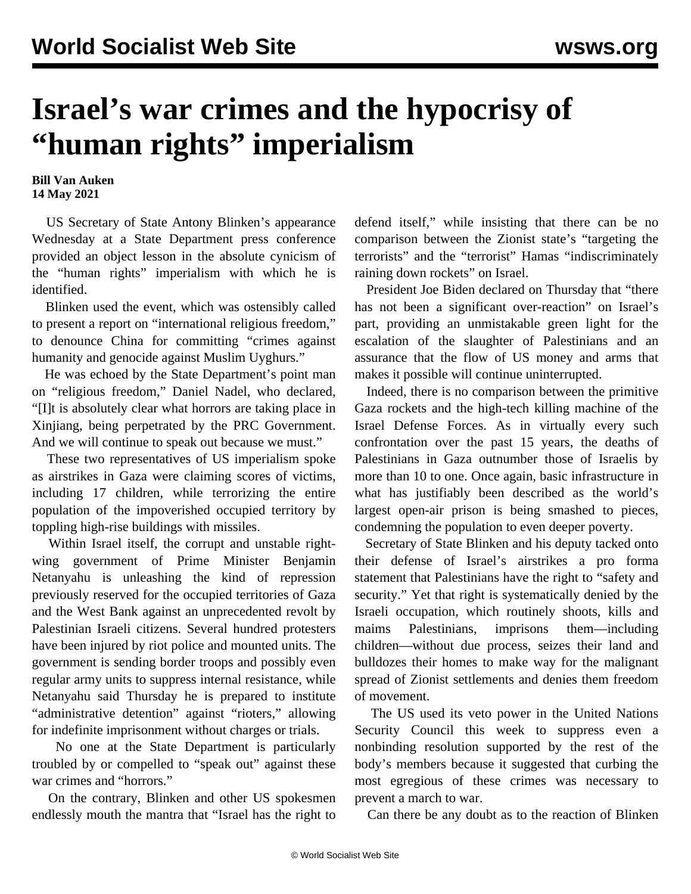## **Israel's war crimes and the hypocrisy of "human rights" imperialism**

## **Bill Van Auken 14 May 2021**

 US Secretary of State Antony Blinken's appearance Wednesday at a State Department press conference provided an object lesson in the absolute cynicism of the "human rights" imperialism with which he is identified.

 Blinken used the event, which was ostensibly called to present a report on "international religious freedom," to denounce China for committing "crimes against humanity and genocide against Muslim Uyghurs."

 He was echoed by the State Department's point man on "religious freedom," Daniel Nadel, who declared, "[I]t is absolutely clear what horrors are taking place in Xinjiang, being perpetrated by the PRC Government. And we will continue to speak out because we must."

 These two representatives of US imperialism spoke as airstrikes in Gaza were claiming scores of victims, including 17 children, while terrorizing the entire population of the impoverished occupied territory by toppling high-rise buildings with missiles.

 Within Israel itself, the corrupt and unstable rightwing government of Prime Minister Benjamin Netanyahu is unleashing the kind of repression previously reserved for the occupied territories of Gaza and the West Bank against an unprecedented revolt by Palestinian Israeli citizens. Several hundred protesters have been injured by riot police and mounted units. The government is sending border troops and possibly even regular army units to suppress internal resistance, while Netanyahu said Thursday he is prepared to institute "administrative detention" against "rioters," allowing for indefinite imprisonment without charges or trials.

 No one at the State Department is particularly troubled by or compelled to "speak out" against these war crimes and "horrors."

 On the contrary, Blinken and other US spokesmen endlessly mouth the mantra that "Israel has the right to

defend itself," while insisting that there can be no comparison between the Zionist state's "targeting the terrorists" and the "terrorist" Hamas "indiscriminately raining down rockets" on Israel.

 President Joe Biden declared on Thursday that "there has not been a significant over-reaction" on Israel's part, providing an unmistakable green light for the escalation of the slaughter of Palestinians and an assurance that the flow of US money and arms that makes it possible will continue uninterrupted.

 Indeed, there is no comparison between the primitive Gaza rockets and the high-tech killing machine of the Israel Defense Forces. As in virtually every such confrontation over the past 15 years, the deaths of Palestinians in Gaza outnumber those of Israelis by more than 10 to one. Once again, basic infrastructure in what has justifiably been described as the world's largest open-air prison is being smashed to pieces, condemning the population to even deeper poverty.

 Secretary of State Blinken and his deputy tacked onto their defense of Israel's airstrikes a pro forma statement that Palestinians have the right to "safety and security." Yet that right is systematically denied by the Israeli occupation, which routinely shoots, kills and maims Palestinians, imprisons them—including children—without due process, seizes their land and bulldozes their homes to make way for the malignant spread of Zionist settlements and denies them freedom of movement.

 The US used its veto power in the United Nations Security Council this week to suppress even a nonbinding resolution supported by the rest of the body's members because it suggested that curbing the most egregious of these crimes was necessary to prevent a march to war.

Can there be any doubt as to the reaction of Blinken